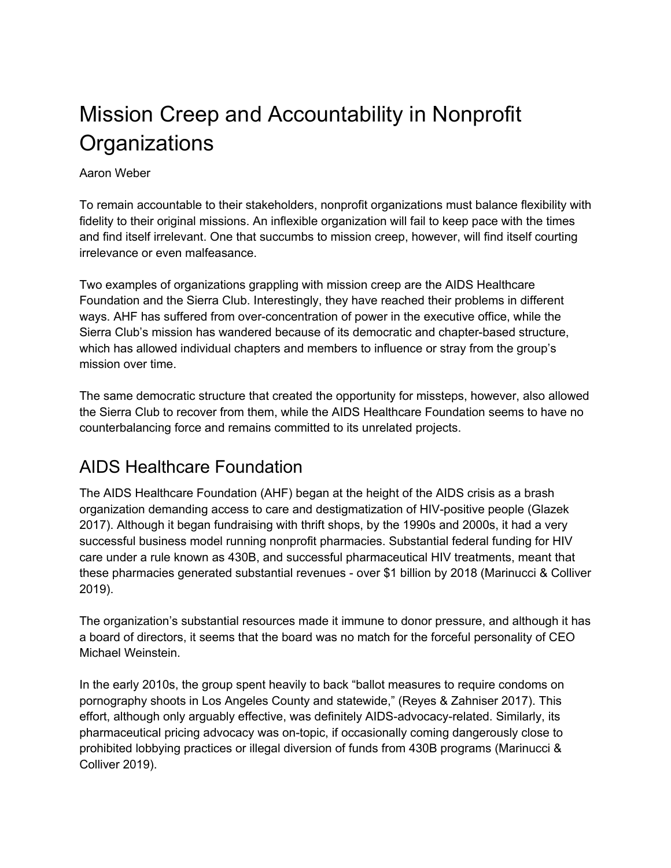# Mission Creep and Accountability in Nonprofit **Organizations**

#### Aaron Weber

To remain accountable to their stakeholders, nonprofit organizations must balance flexibility with fidelity to their original missions. An inflexible organization will fail to keep pace with the times and find itself irrelevant. One that succumbs to mission creep, however, will find itself courting irrelevance or even malfeasance.

Two examples of organizations grappling with mission creep are the AIDS Healthcare Foundation and the Sierra Club. Interestingly, they have reached their problems in different ways. AHF has suffered from over-concentration of power in the executive office, while the Sierra Club's mission has wandered because of its democratic and chapter-based structure, which has allowed individual chapters and members to influence or stray from the group's mission over time.

The same democratic structure that created the opportunity for missteps, however, also allowed the Sierra Club to recover from them, while the AIDS Healthcare Foundation seems to have no counterbalancing force and remains committed to its unrelated projects.

### AIDS Healthcare Foundation

The AIDS Healthcare Foundation (AHF) began at the height of the AIDS crisis as a brash organization demanding access to care and destigmatization of HIV-positive people (Glazek 2017). Although it began fundraising with thrift shops, by the 1990s and 2000s, it had a very successful business model running nonprofit pharmacies. Substantial federal funding for HIV care under a rule known as 430B, and successful pharmaceutical HIV treatments, meant that these pharmacies generated substantial revenues - over \$1 billion by 2018 (Marinucci & Colliver 2019).

The organization's substantial resources made it immune to donor pressure, and although it has a board of directors, it seems that the board was no match for the forceful personality of CEO Michael Weinstein.

In the early 2010s, the group spent heavily to back "ballot measures to require condoms on pornography shoots in Los Angeles County and statewide," (Reyes & Zahniser 2017). This effort, although only arguably effective, was definitely AIDS-advocacy-related. Similarly, its pharmaceutical pricing advocacy was on-topic, if occasionally coming dangerously close to prohibited lobbying practices or illegal diversion of funds from 430B programs (Marinucci & Colliver 2019).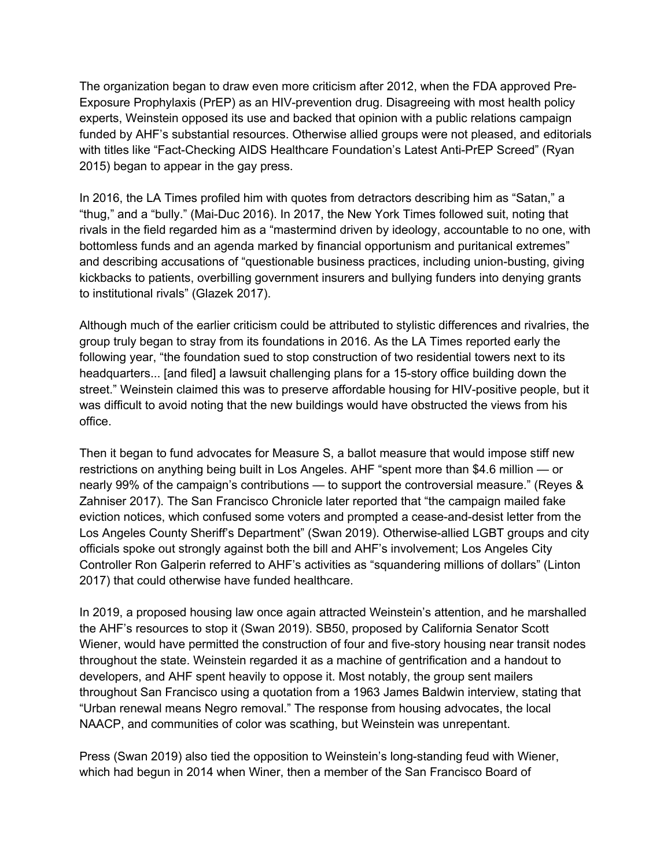The organization began to draw even more criticism after 2012, when the FDA approved Pre-Exposure Prophylaxis (PrEP) as an HIV-prevention drug. Disagreeing with most health policy experts, Weinstein opposed its use and backed that opinion with a public relations campaign funded by AHF's substantial resources. Otherwise allied groups were not pleased, and editorials with titles like "Fact-Checking AIDS Healthcare Foundation's Latest Anti-PrEP Screed" (Ryan 2015) began to appear in the gay press.

In 2016, the LA Times profiled him with quotes from detractors describing him as "Satan," a "thug," and a "bully." (Mai-Duc 2016). In 2017, the New York Times followed suit, noting that rivals in the field regarded him as a "mastermind driven by ideology, accountable to no one, with bottomless funds and an agenda marked by financial opportunism and puritanical extremes" and describing accusations of "questionable business practices, including union-busting, giving kickbacks to patients, overbilling government insurers and bullying funders into denying grants to institutional rivals" (Glazek 2017).

Although much of the earlier criticism could be attributed to stylistic differences and rivalries, the group truly began to stray from its foundations in 2016. As the LA Times reported early the following year, "the foundation sued to stop construction of two residential towers next to its headquarters... [and filed] a lawsuit challenging plans for a 15-story office building down the street." Weinstein claimed this was to preserve affordable housing for HIV-positive people, but it was difficult to avoid noting that the new buildings would have obstructed the views from his office.

Then it began to fund advocates for Measure S, a ballot measure that would impose stiff new restrictions on anything being built in Los Angeles. AHF "spent more than \$4.6 million — or nearly 99% of the campaign's contributions — to support the controversial measure." (Reyes & Zahniser 2017). The San Francisco Chronicle later reported that "the campaign mailed fake eviction notices, which confused some voters and prompted a cease-and-desist letter from the Los Angeles County Sheriff's Department" (Swan 2019). Otherwise-allied LGBT groups and city officials spoke out strongly against both the bill and AHF's involvement; Los Angeles City Controller Ron Galperin referred to AHF's activities as "squandering millions of dollars" (Linton 2017) that could otherwise have funded healthcare.

In 2019, a proposed housing law once again attracted Weinstein's attention, and he marshalled the AHF's resources to stop it (Swan 2019). SB50, proposed by California Senator Scott Wiener, would have permitted the construction of four and five-story housing near transit nodes throughout the state. Weinstein regarded it as a machine of gentrification and a handout to developers, and AHF spent heavily to oppose it. Most notably, the group sent mailers throughout San Francisco using a quotation from a 1963 James Baldwin interview, stating that "Urban renewal means Negro removal." The response from housing advocates, the local NAACP, and communities of color was scathing, but Weinstein was unrepentant.

Press (Swan 2019) also tied the opposition to Weinstein's long-standing feud with Wiener, which had begun in 2014 when Winer, then a member of the San Francisco Board of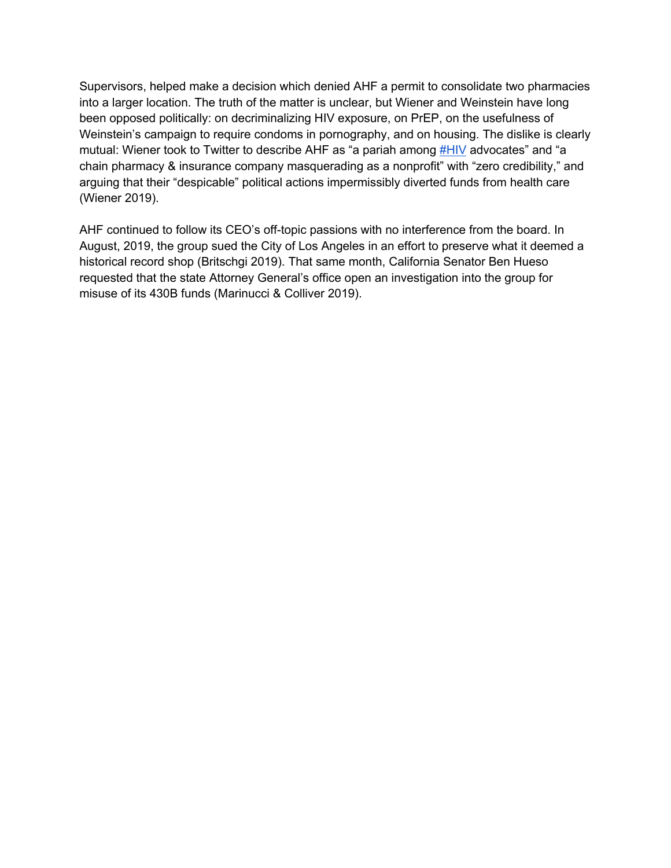Supervisors, helped make a decision which denied AHF a permit to consolidate two pharmacies into a larger location. The truth of the matter is unclear, but Wiener and Weinstein have long been opposed politically: on decriminalizing HIV exposure, on PrEP, on the usefulness of Weinstein's campaign to require condoms in pornography, and on housing. The dislike is clearly mutual: Wiener took to Twitter to describe AHF as "a pariah among **#HIV** advocates" and "a chain pharmacy & insurance company masquerading as a nonprofit" with "zero credibility," and arguing that their "despicable" political actions impermissibly diverted funds from health care (Wiener 2019).

AHF continued to follow its CEO's off-topic passions with no interference from the board. In August, 2019, the group sued the City of Los Angeles in an effort to preserve what it deemed a historical record shop (Britschgi 2019). That same month, California Senator Ben Hueso requested that the state Attorney General's office open an investigation into the group for misuse of its 430B funds (Marinucci & Colliver 2019).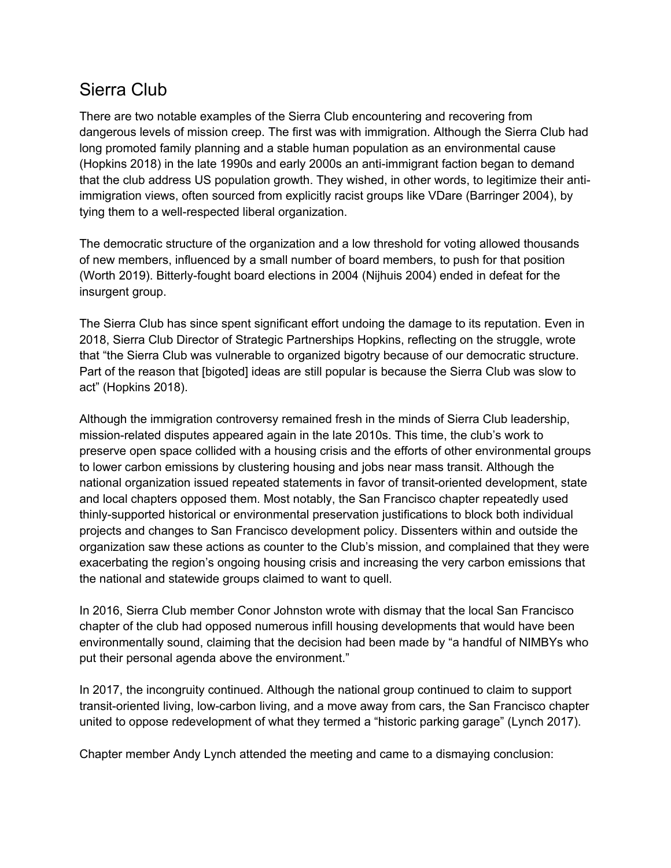#### Sierra Club

There are two notable examples of the Sierra Club encountering and recovering from dangerous levels of mission creep. The first was with immigration. Although the Sierra Club had long promoted family planning and a stable human population as an environmental cause (Hopkins 2018) in the late 1990s and early 2000s an anti-immigrant faction began to demand that the club address US population growth. They wished, in other words, to legitimize their antiimmigration views, often sourced from explicitly racist groups like VDare (Barringer 2004), by tying them to a well-respected liberal organization.

The democratic structure of the organization and a low threshold for voting allowed thousands of new members, influenced by a small number of board members, to push for that position (Worth 2019). Bitterly-fought board elections in 2004 (Nijhuis 2004) ended in defeat for the insurgent group.

The Sierra Club has since spent significant effort undoing the damage to its reputation. Even in 2018, Sierra Club Director of Strategic Partnerships Hopkins, reflecting on the struggle, wrote that "the Sierra Club was vulnerable to organized bigotry because of our democratic structure. Part of the reason that [bigoted] ideas are still popular is because the Sierra Club was slow to act" (Hopkins 2018).

Although the immigration controversy remained fresh in the minds of Sierra Club leadership, mission-related disputes appeared again in the late 2010s. This time, the club's work to preserve open space collided with a housing crisis and the efforts of other environmental groups to lower carbon emissions by clustering housing and jobs near mass transit. Although the national organization issued repeated statements in favor of transit-oriented development, state and local chapters opposed them. Most notably, the San Francisco chapter repeatedly used thinly-supported historical or environmental preservation justifications to block both individual projects and changes to San Francisco development policy. Dissenters within and outside the organization saw these actions as counter to the Club's mission, and complained that they were exacerbating the region's ongoing housing crisis and increasing the very carbon emissions that the national and statewide groups claimed to want to quell.

In 2016, Sierra Club member Conor Johnston wrote with dismay that the local San Francisco chapter of the club had opposed numerous infill housing developments that would have been environmentally sound, claiming that the decision had been made by "a handful of NIMBYs who put their personal agenda above the environment."

In 2017, the incongruity continued. Although the national group continued to claim to support transit-oriented living, low-carbon living, and a move away from cars, the San Francisco chapter united to oppose redevelopment of what they termed a "historic parking garage" (Lynch 2017).

Chapter member Andy Lynch attended the meeting and came to a dismaying conclusion: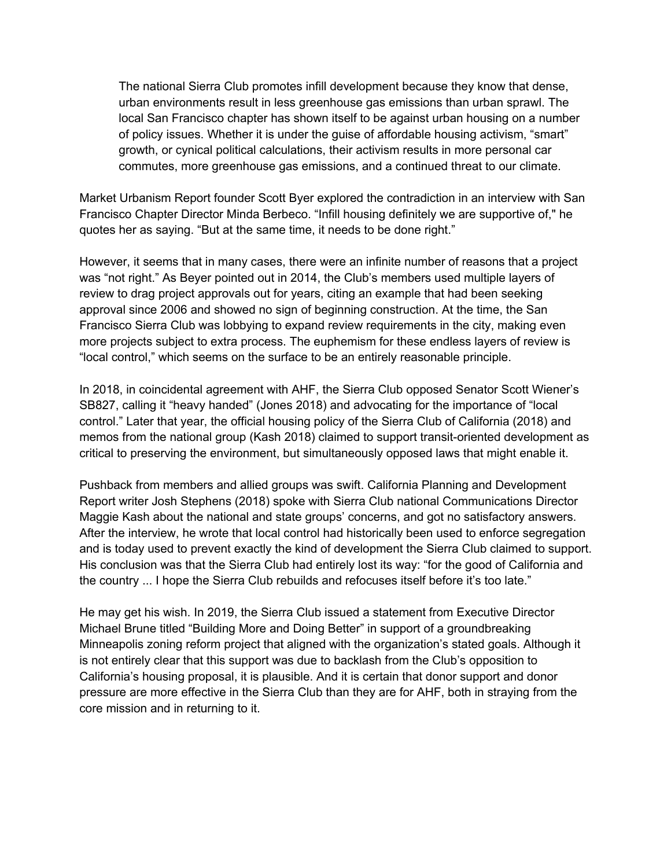The national Sierra Club promotes infill development because they know that dense, urban environments result in less greenhouse gas emissions than urban sprawl. The local San Francisco chapter has shown itself to be against urban housing on a number of policy issues. Whether it is under the guise of affordable housing activism, "smart" growth, or cynical political calculations, their activism results in more personal car commutes, more greenhouse gas emissions, and a continued threat to our climate.

Market Urbanism Report founder Scott Byer explored the contradiction in an interview with San Francisco Chapter Director Minda Berbeco. "Infill housing definitely we are supportive of," he quotes her as saying. "But at the same time, it needs to be done right."

However, it seems that in many cases, there were an infinite number of reasons that a project was "not right." As Beyer pointed out in 2014, the Club's members used multiple layers of review to drag project approvals out for years, citing an example that had been seeking approval since 2006 and showed no sign of beginning construction. At the time, the San Francisco Sierra Club was lobbying to expand review requirements in the city, making even more projects subject to extra process. The euphemism for these endless layers of review is "local control," which seems on the surface to be an entirely reasonable principle.

In 2018, in coincidental agreement with AHF, the Sierra Club opposed Senator Scott Wiener's SB827, calling it "heavy handed" (Jones 2018) and advocating for the importance of "local control." Later that year, the official housing policy of the Sierra Club of California (2018) and memos from the national group (Kash 2018) claimed to support transit-oriented development as critical to preserving the environment, but simultaneously opposed laws that might enable it.

Pushback from members and allied groups was swift. California Planning and Development Report writer Josh Stephens (2018) spoke with Sierra Club national Communications Director Maggie Kash about the national and state groups' concerns, and got no satisfactory answers. After the interview, he wrote that local control had historically been used to enforce segregation and is today used to prevent exactly the kind of development the Sierra Club claimed to support. His conclusion was that the Sierra Club had entirely lost its way: "for the good of California and the country ... I hope the Sierra Club rebuilds and refocuses itself before it's too late."

He may get his wish. In 2019, the Sierra Club issued a statement from Executive Director Michael Brune titled "Building More and Doing Better" in support of a groundbreaking Minneapolis zoning reform project that aligned with the organization's stated goals. Although it is not entirely clear that this support was due to backlash from the Club's opposition to California's housing proposal, it is plausible. And it is certain that donor support and donor pressure are more effective in the Sierra Club than they are for AHF, both in straying from the core mission and in returning to it.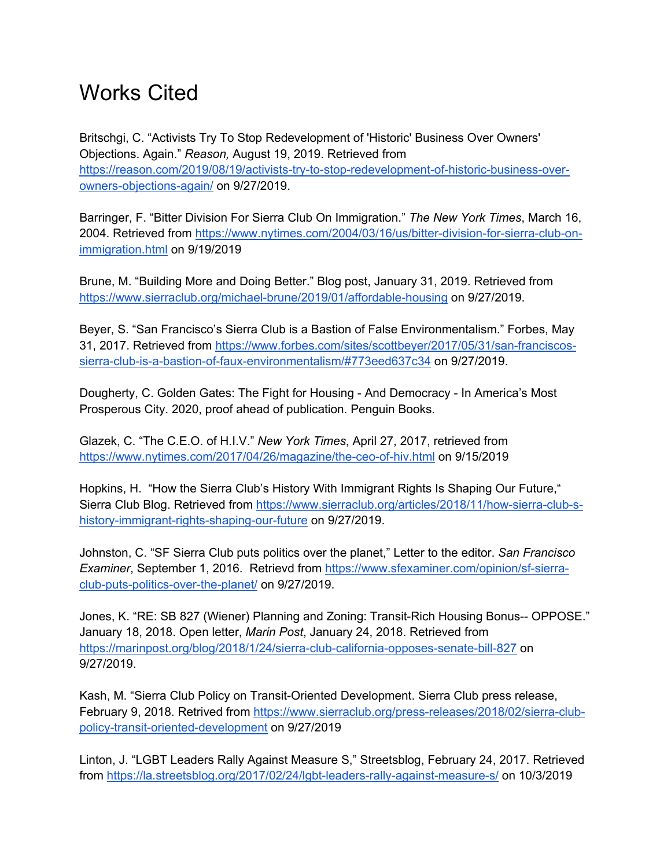## Works Cited

Britschgi, C. "Activists Try To Stop Redevelopment of 'Historic' Business Over Owners' Objections. Again." *Reason,* August 19, 2019. Retrieved from https://reason.com/2019/08/19/activists-try-to-stop-redevelopment-of-historic-business-overowners-objections-again/ on 9/27/2019.

Barringer, F. "Bitter Division For Sierra Club On Immigration." *The New York Times*, March 16, 2004. Retrieved from https://www.nytimes.com/2004/03/16/us/bitter-division-for-sierra-club-onimmigration.html on 9/19/2019

Brune, M. "Building More and Doing Better." Blog post, January 31, 2019. Retrieved from https://www.sierraclub.org/michael-brune/2019/01/affordable-housing on 9/27/2019.

Beyer, S. "San Francisco's Sierra Club is a Bastion of False Environmentalism." Forbes, May 31, 2017. Retrieved from https://www.forbes.com/sites/scottbeyer/2017/05/31/san-franciscossierra-club-is-a-bastion-of-faux-environmentalism/#773eed637c34 on 9/27/2019.

Dougherty, C. Golden Gates: The Fight for Housing - And Democracy - In America's Most Prosperous City. 2020, proof ahead of publication. Penguin Books.

Glazek, C. "The C.E.O. of H.I.V." *New York Times*, April 27, 2017, retrieved from https://www.nytimes.com/2017/04/26/magazine/the-ceo-of-hiv.html on 9/15/2019

Hopkins, H. "How the Sierra Club's History With Immigrant Rights Is Shaping Our Future," Sierra Club Blog. Retrieved from https://www.sierraclub.org/articles/2018/11/how-sierra-club-shistory-immigrant-rights-shaping-our-future on 9/27/2019.

Johnston, C. "SF Sierra Club puts politics over the planet," Letter to the editor. *San Francisco Examiner*, September 1, 2016. Retrievd from https://www.sfexaminer.com/opinion/sf-sierraclub-puts-politics-over-the-planet/ on 9/27/2019.

Jones, K. "RE: SB 827 (Wiener) Planning and Zoning: Transit-Rich Housing Bonus-- OPPOSE." January 18, 2018. Open letter, *Marin Post*, January 24, 2018. Retrieved from https://marinpost.org/blog/2018/1/24/sierra-club-california-opposes-senate-bill-827 on 9/27/2019.

Kash, M. "Sierra Club Policy on Transit-Oriented Development. Sierra Club press release, February 9, 2018. Retrived from https://www.sierraclub.org/press-releases/2018/02/sierra-clubpolicy-transit-oriented-development on 9/27/2019

Linton, J. "LGBT Leaders Rally Against Measure S," Streetsblog, February 24, 2017. Retrieved from https://la.streetsblog.org/2017/02/24/lgbt-leaders-rally-against-measure-s/ on 10/3/2019